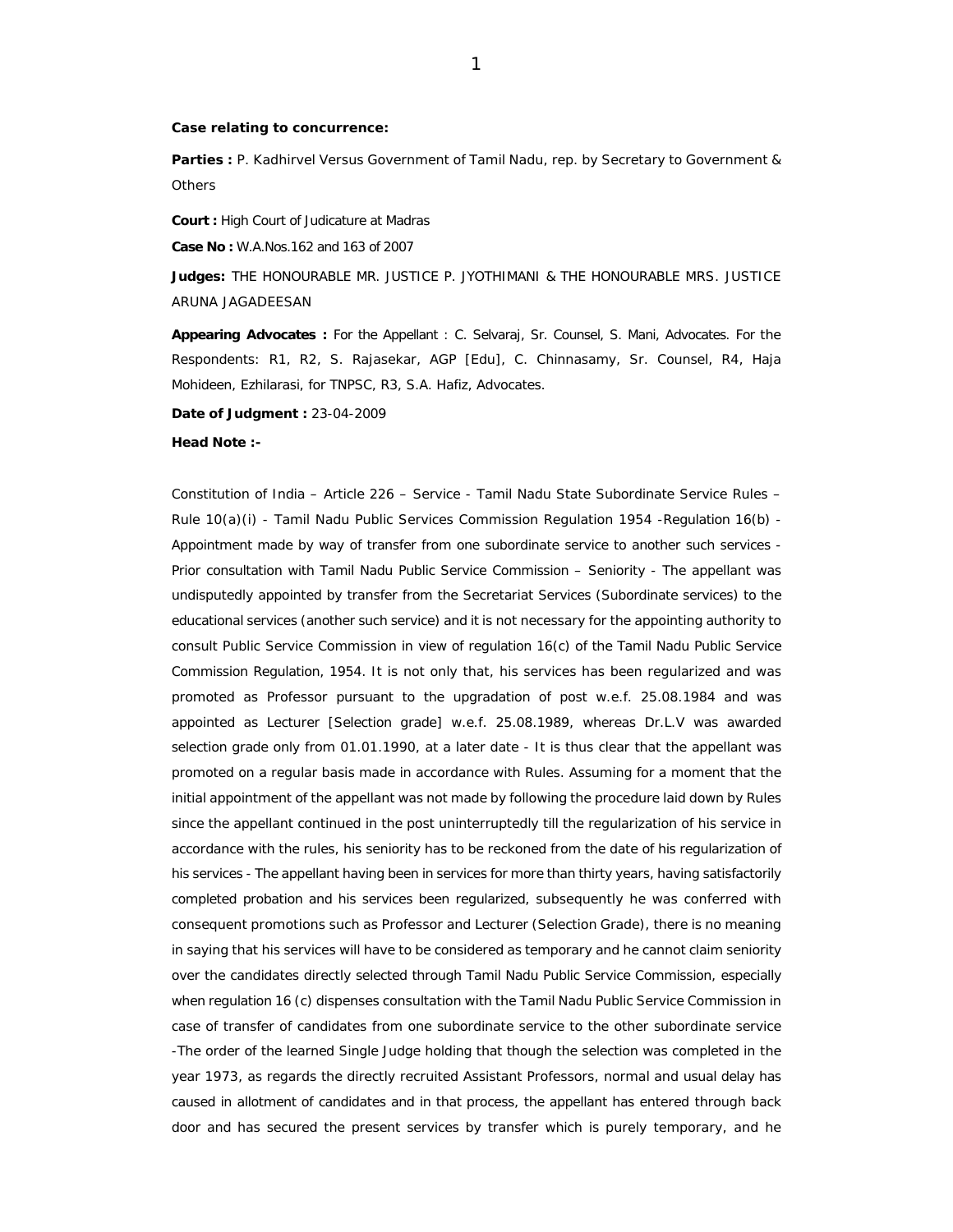## **Case relating to concurrence:**

Parties : P. Kadhirvel Versus Government of Tamil Nadu, rep. by Secretary to Government & **Others** 

**Court :** High Court of Judicature at Madras

**Case No :** W.A.Nos.162 and 163 of 2007

**Judges:** THE HONOURABLE MR. JUSTICE P. JYOTHIMANI & THE HONOURABLE MRS. JUSTICE ARUNA JAGADEESAN

**Appearing Advocates :** For the Appellant : C. Selvaraj, Sr. Counsel, S. Mani, Advocates. For the Respondents: R1, R2, S. Rajasekar, AGP [Edu], C. Chinnasamy, Sr. Counsel, R4, Haja Mohideen, Ezhilarasi, for TNPSC, R3, S.A. Hafiz, Advocates.

**Date of Judgment :** 23-04-2009

## **Head Note :-**

Constitution of India – Article 226 – Service - Tamil Nadu State Subordinate Service Rules – Rule 10(a)(i) - Tamil Nadu Public Services Commission Regulation 1954 -Regulation 16(b) - Appointment made by way of transfer from one subordinate service to another such services - Prior consultation with Tamil Nadu Public Service Commission – Seniority - The appellant was undisputedly appointed by transfer from the Secretariat Services (Subordinate services) to the educational services (another such service) and it is not necessary for the appointing authority to consult Public Service Commission in view of regulation 16(c) of the Tamil Nadu Public Service Commission Regulation, 1954. It is not only that, his services has been regularized and was promoted as Professor pursuant to the upgradation of post w.e.f. 25.08.1984 and was appointed as Lecturer [Selection grade] w.e.f. 25.08.1989, whereas Dr.L.V was awarded selection grade only from 01.01.1990, at a later date - It is thus clear that the appellant was promoted on a regular basis made in accordance with Rules. Assuming for a moment that the initial appointment of the appellant was not made by following the procedure laid down by Rules since the appellant continued in the post uninterruptedly till the regularization of his service in accordance with the rules, his seniority has to be reckoned from the date of his regularization of his services - The appellant having been in services for more than thirty years, having satisfactorily completed probation and his services been regularized, subsequently he was conferred with consequent promotions such as Professor and Lecturer (Selection Grade), there is no meaning in saying that his services will have to be considered as temporary and he cannot claim seniority over the candidates directly selected through Tamil Nadu Public Service Commission, especially when regulation 16 (c) dispenses consultation with the Tamil Nadu Public Service Commission in case of transfer of candidates from one subordinate service to the other subordinate service -The order of the learned Single Judge holding that though the selection was completed in the year 1973, as regards the directly recruited Assistant Professors, normal and usual delay has caused in allotment of candidates and in that process, the appellant has entered through back door and has secured the present services by transfer which is purely temporary, and he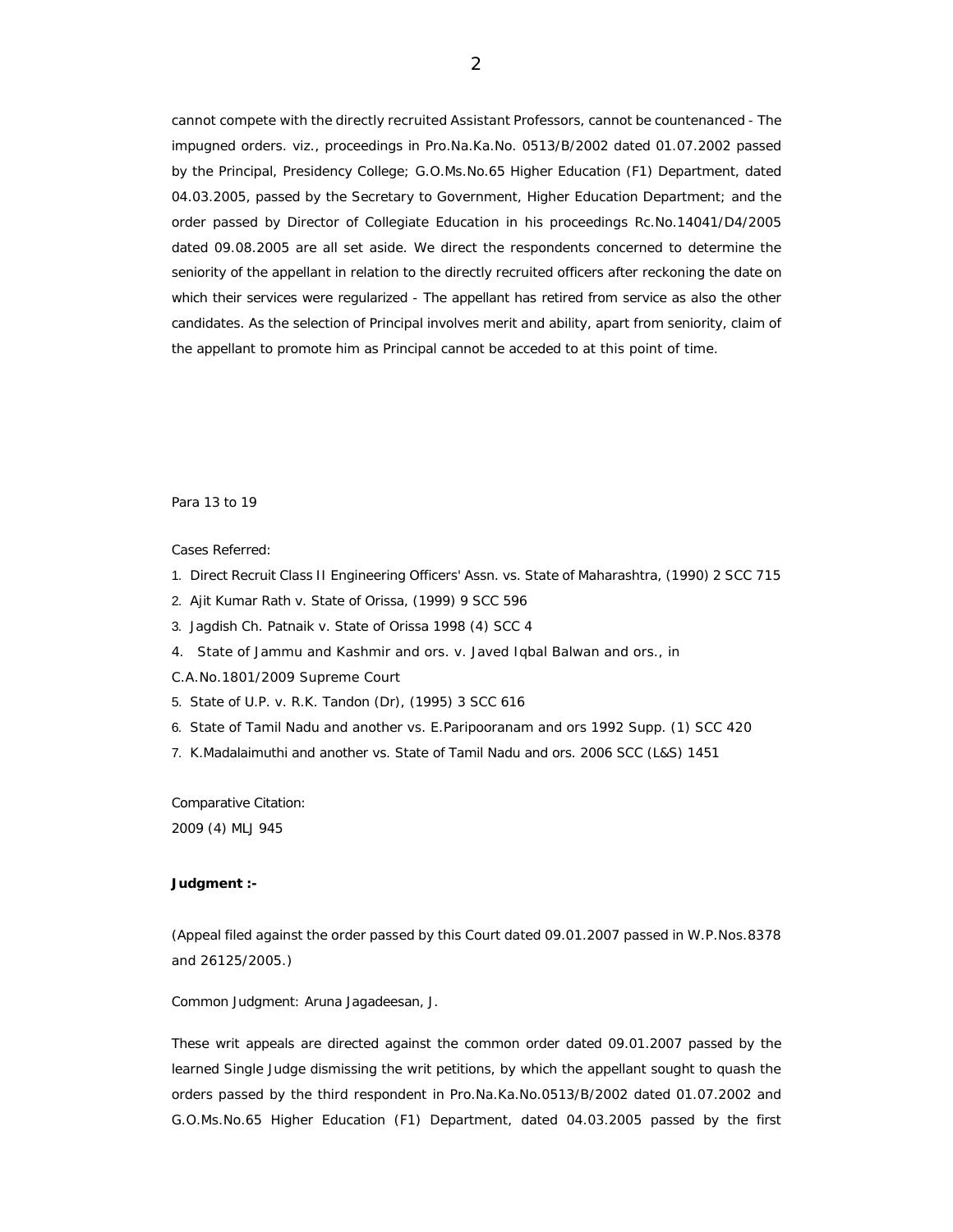cannot compete with the directly recruited Assistant Professors, cannot be countenanced - The impugned orders. viz., proceedings in Pro.Na.Ka.No. 0513/B/2002 dated 01.07.2002 passed by the Principal, Presidency College; G.O.Ms.No.65 Higher Education (F1) Department, dated 04.03.2005, passed by the Secretary to Government, Higher Education Department; and the order passed by Director of Collegiate Education in his proceedings Rc.No.14041/D4/2005 dated 09.08.2005 are all set aside. We direct the respondents concerned to determine the seniority of the appellant in relation to the directly recruited officers after reckoning the date on which their services were regularized - The appellant has retired from service as also the other candidates. As the selection of Principal involves merit and ability, apart from seniority, claim of the appellant to promote him as Principal cannot be acceded to at this point of time.

Para 13 to 19

Cases Referred:

- 1. Direct Recruit Class II Engineering Officers' Assn. vs. State of Maharashtra, (1990) 2 SCC 715
- 2. Ajit Kumar Rath v. State of Orissa, (1999) 9 SCC 596
- 3. Jagdish Ch. Patnaik v. State of Orissa 1998 (4) SCC 4
- 4. State of Jammu and Kashmir and ors. v. Javed Iqbal Balwan and ors., in
- C.A.No.1801/2009 Supreme Court
- 5. State of U.P. v. R.K. Tandon (Dr), (1995) 3 SCC 616
- 6. State of Tamil Nadu and another vs. E.Paripooranam and ors 1992 Supp. (1) SCC 420
- 7. K.Madalaimuthi and another vs. State of Tamil Nadu and ors. 2006 SCC (L&S) 1451

Comparative Citation:

2009 (4) MLJ 945

## **Judgment :-**

(Appeal filed against the order passed by this Court dated 09.01.2007 passed in W.P.Nos.8378 and 26125/2005.)

Common Judgment: Aruna Jagadeesan, J.

These writ appeals are directed against the common order dated 09.01.2007 passed by the learned Single Judge dismissing the writ petitions, by which the appellant sought to quash the orders passed by the third respondent in Pro.Na.Ka.No.0513/B/2002 dated 01.07.2002 and G.O.Ms.No.65 Higher Education (F1) Department, dated 04.03.2005 passed by the first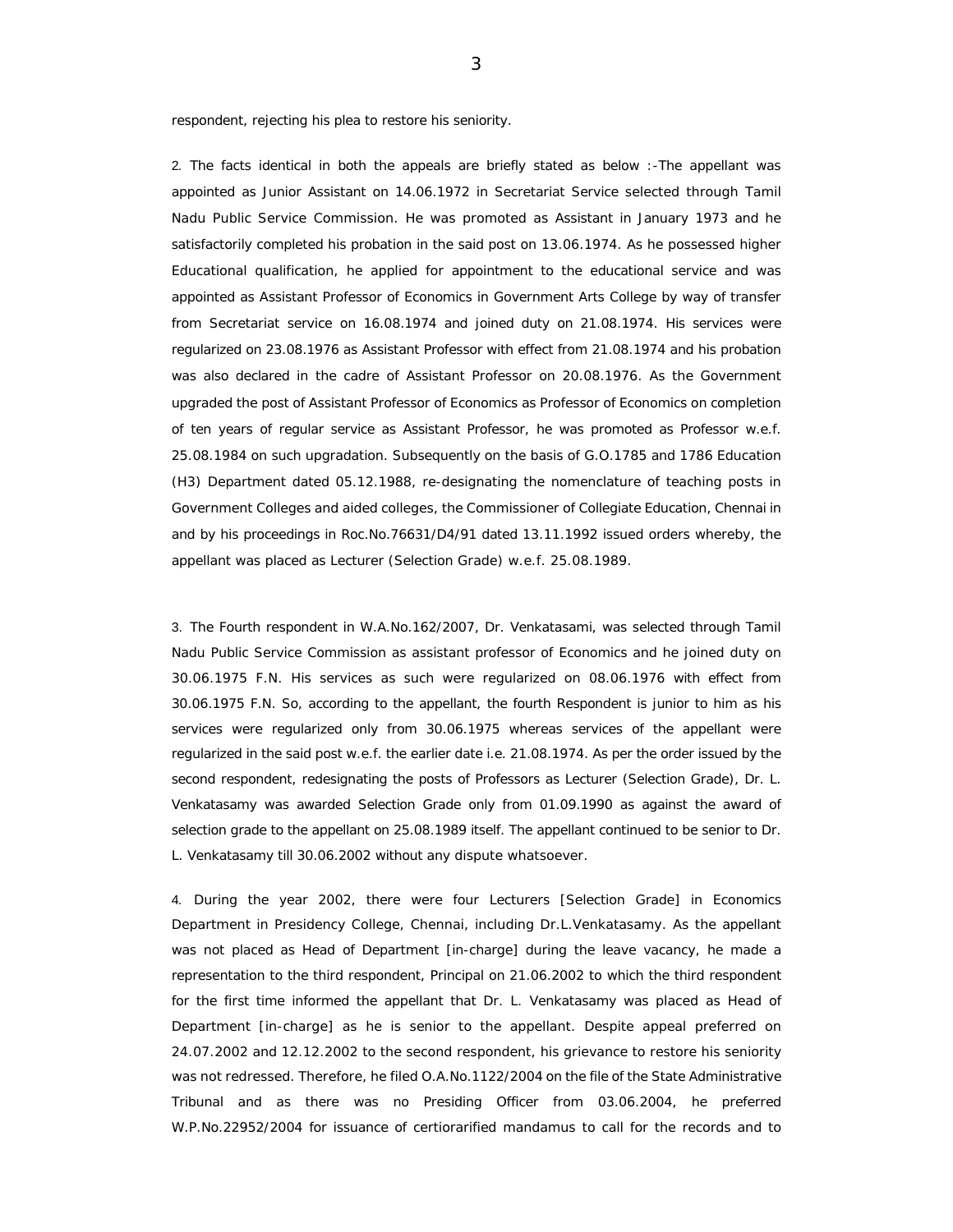respondent, rejecting his plea to restore his seniority.

2. The facts identical in both the appeals are briefly stated as below :-The appellant was appointed as Junior Assistant on 14.06.1972 in Secretariat Service selected through Tamil Nadu Public Service Commission. He was promoted as Assistant in January 1973 and he satisfactorily completed his probation in the said post on 13.06.1974. As he possessed higher Educational qualification, he applied for appointment to the educational service and was appointed as Assistant Professor of Economics in Government Arts College by way of transfer from Secretariat service on 16.08.1974 and joined duty on 21.08.1974. His services were regularized on 23.08.1976 as Assistant Professor with effect from 21.08.1974 and his probation was also declared in the cadre of Assistant Professor on 20.08.1976. As the Government upgraded the post of Assistant Professor of Economics as Professor of Economics on completion of ten years of regular service as Assistant Professor, he was promoted as Professor w.e.f. 25.08.1984 on such upgradation. Subsequently on the basis of G.O.1785 and 1786 Education (H3) Department dated 05.12.1988, re-designating the nomenclature of teaching posts in Government Colleges and aided colleges, the Commissioner of Collegiate Education, Chennai in and by his proceedings in Roc.No.76631/D4/91 dated 13.11.1992 issued orders whereby, the appellant was placed as Lecturer (Selection Grade) w.e.f. 25.08.1989.

3. The Fourth respondent in W.A.No.162/2007, Dr. Venkatasami, was selected through Tamil Nadu Public Service Commission as assistant professor of Economics and he joined duty on 30.06.1975 F.N. His services as such were regularized on 08.06.1976 with effect from 30.06.1975 F.N. So, according to the appellant, the fourth Respondent is junior to him as his services were regularized only from 30.06.1975 whereas services of the appellant were regularized in the said post w.e.f. the earlier date i.e. 21.08.1974. As per the order issued by the second respondent, redesignating the posts of Professors as Lecturer (Selection Grade), Dr. L. Venkatasamy was awarded Selection Grade only from 01.09.1990 as against the award of selection grade to the appellant on 25.08.1989 itself. The appellant continued to be senior to Dr. L. Venkatasamy till 30.06.2002 without any dispute whatsoever.

4. During the year 2002, there were four Lecturers [Selection Grade] in Economics Department in Presidency College, Chennai, including Dr.L.Venkatasamy. As the appellant was not placed as Head of Department [in-charge] during the leave vacancy, he made a representation to the third respondent, Principal on 21.06.2002 to which the third respondent for the first time informed the appellant that Dr. L. Venkatasamy was placed as Head of Department [in-charge] as he is senior to the appellant. Despite appeal preferred on 24.07.2002 and 12.12.2002 to the second respondent, his grievance to restore his seniority was not redressed. Therefore, he filed O.A.No.1122/2004 on the file of the State Administrative Tribunal and as there was no Presiding Officer from 03.06.2004, he preferred W.P.No.22952/2004 for issuance of certiorarified mandamus to call for the records and to

3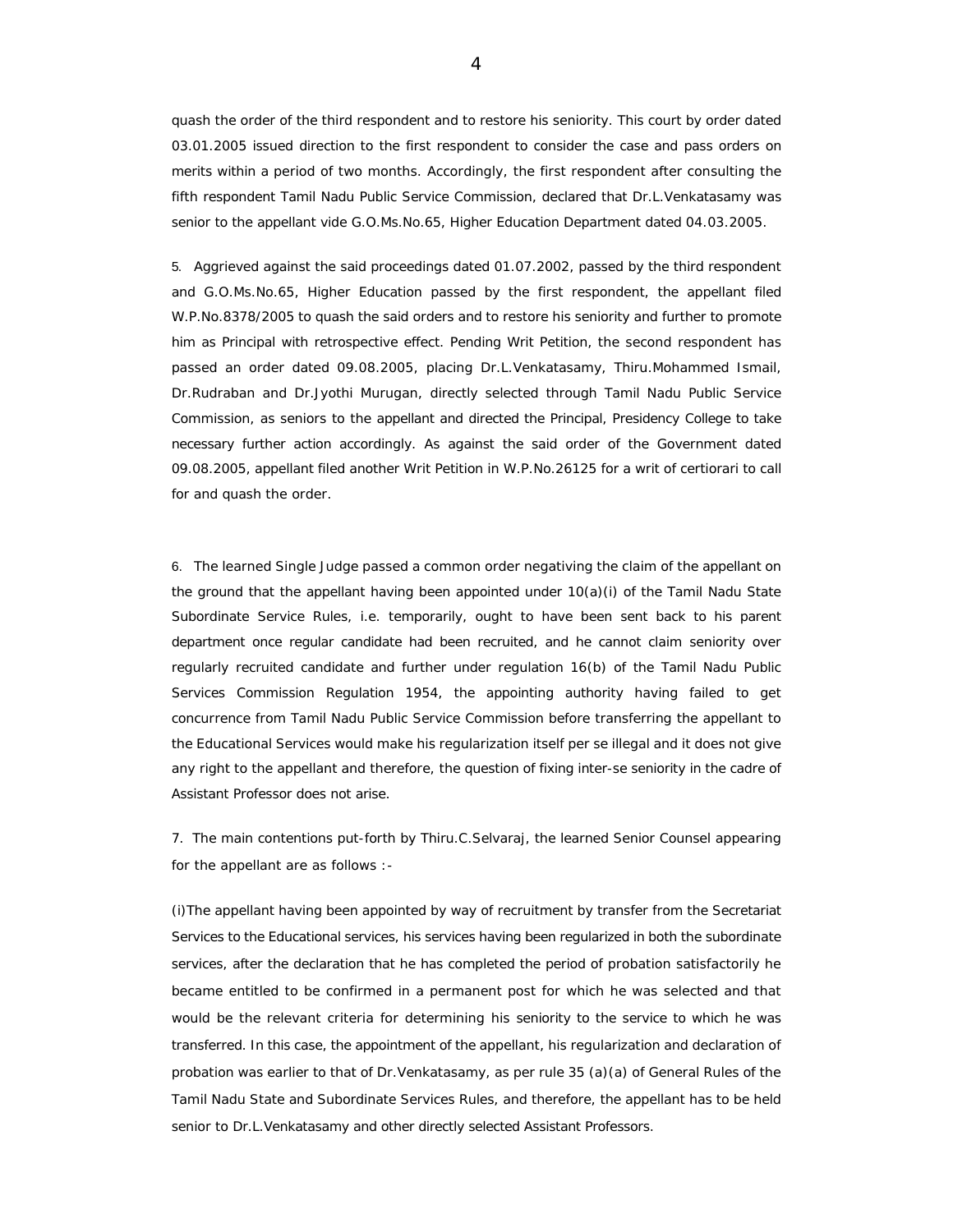quash the order of the third respondent and to restore his seniority. This court by order dated 03.01.2005 issued direction to the first respondent to consider the case and pass orders on merits within a period of two months. Accordingly, the first respondent after consulting the fifth respondent Tamil Nadu Public Service Commission, declared that Dr.L.Venkatasamy was senior to the appellant vide G.O.Ms.No.65, Higher Education Department dated 04.03.2005.

5. Aggrieved against the said proceedings dated 01.07.2002, passed by the third respondent and G.O.Ms.No.65, Higher Education passed by the first respondent, the appellant filed W.P.No.8378/2005 to quash the said orders and to restore his seniority and further to promote him as Principal with retrospective effect. Pending Writ Petition, the second respondent has passed an order dated 09.08.2005, placing Dr.L.Venkatasamy, Thiru.Mohammed Ismail, Dr.Rudraban and Dr.Jyothi Murugan, directly selected through Tamil Nadu Public Service Commission, as seniors to the appellant and directed the Principal, Presidency College to take necessary further action accordingly. As against the said order of the Government dated 09.08.2005, appellant filed another Writ Petition in W.P.No.26125 for a writ of certiorari to call for and quash the order.

6. The learned Single Judge passed a common order negativing the claim of the appellant on the ground that the appellant having been appointed under 10(a)(i) of the Tamil Nadu State Subordinate Service Rules, i.e. temporarily, ought to have been sent back to his parent department once regular candidate had been recruited, and he cannot claim seniority over regularly recruited candidate and further under regulation 16(b) of the Tamil Nadu Public Services Commission Regulation 1954, the appointing authority having failed to get concurrence from Tamil Nadu Public Service Commission before transferring the appellant to the Educational Services would make his regularization itself per se illegal and it does not give any right to the appellant and therefore, the question of fixing inter-se seniority in the cadre of Assistant Professor does not arise.

7. The main contentions put-forth by Thiru.C.Selvaraj, the learned Senior Counsel appearing for the appellant are as follows :-

(i)The appellant having been appointed by way of recruitment by transfer from the Secretariat Services to the Educational services, his services having been regularized in both the subordinate services, after the declaration that he has completed the period of probation satisfactorily he became entitled to be confirmed in a permanent post for which he was selected and that would be the relevant criteria for determining his seniority to the service to which he was transferred. In this case, the appointment of the appellant, his regularization and declaration of probation was earlier to that of Dr.Venkatasamy, as per rule 35 (a)(a) of General Rules of the Tamil Nadu State and Subordinate Services Rules, and therefore, the appellant has to be held senior to Dr.L.Venkatasamy and other directly selected Assistant Professors.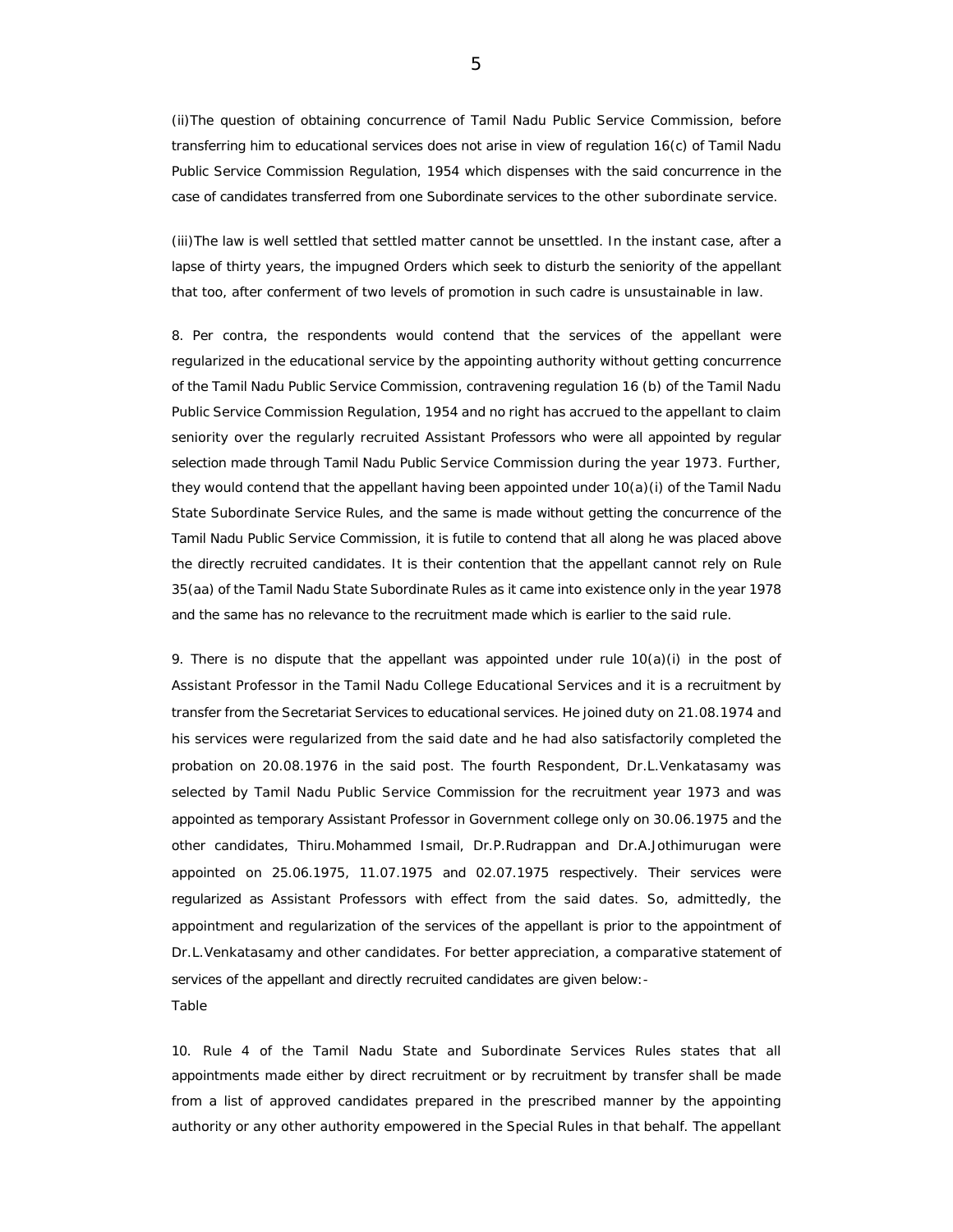(ii)The question of obtaining concurrence of Tamil Nadu Public Service Commission, before transferring him to educational services does not arise in view of regulation 16(c) of Tamil Nadu Public Service Commission Regulation, 1954 which dispenses with the said concurrence in the case of candidates transferred from one Subordinate services to the other subordinate service.

(iii)The law is well settled that settled matter cannot be unsettled. In the instant case, after a lapse of thirty years, the impugned Orders which seek to disturb the seniority of the appellant that too, after conferment of two levels of promotion in such cadre is unsustainable in law.

8. Per contra, the respondents would contend that the services of the appellant were regularized in the educational service by the appointing authority without getting concurrence of the Tamil Nadu Public Service Commission, contravening regulation 16 (b) of the Tamil Nadu Public Service Commission Regulation, 1954 and no right has accrued to the appellant to claim seniority over the regularly recruited Assistant Professors who were all appointed by regular selection made through Tamil Nadu Public Service Commission during the year 1973. Further, they would contend that the appellant having been appointed under 10(a)(i) of the Tamil Nadu State Subordinate Service Rules, and the same is made without getting the concurrence of the Tamil Nadu Public Service Commission, it is futile to contend that all along he was placed above the directly recruited candidates. It is their contention that the appellant cannot rely on Rule 35(aa) of the Tamil Nadu State Subordinate Rules as it came into existence only in the year 1978 and the same has no relevance to the recruitment made which is earlier to the said rule.

9. There is no dispute that the appellant was appointed under rule  $10(a)(i)$  in the post of Assistant Professor in the Tamil Nadu College Educational Services and it is a recruitment by transfer from the Secretariat Services to educational services. He joined duty on 21.08.1974 and his services were regularized from the said date and he had also satisfactorily completed the probation on 20.08.1976 in the said post. The fourth Respondent, Dr.L.Venkatasamy was selected by Tamil Nadu Public Service Commission for the recruitment year 1973 and was appointed as temporary Assistant Professor in Government college only on 30.06.1975 and the other candidates, Thiru.Mohammed Ismail, Dr.P.Rudrappan and Dr.A.Jothimurugan were appointed on 25.06.1975, 11.07.1975 and 02.07.1975 respectively. Their services were regularized as Assistant Professors with effect from the said dates. So, admittedly, the appointment and regularization of the services of the appellant is prior to the appointment of Dr.L.Venkatasamy and other candidates. For better appreciation, a comparative statement of services of the appellant and directly recruited candidates are given below:- Table

10. Rule 4 of the Tamil Nadu State and Subordinate Services Rules states that all appointments made either by direct recruitment or by recruitment by transfer shall be made from a list of approved candidates prepared in the prescribed manner by the appointing authority or any other authority empowered in the Special Rules in that behalf. The appellant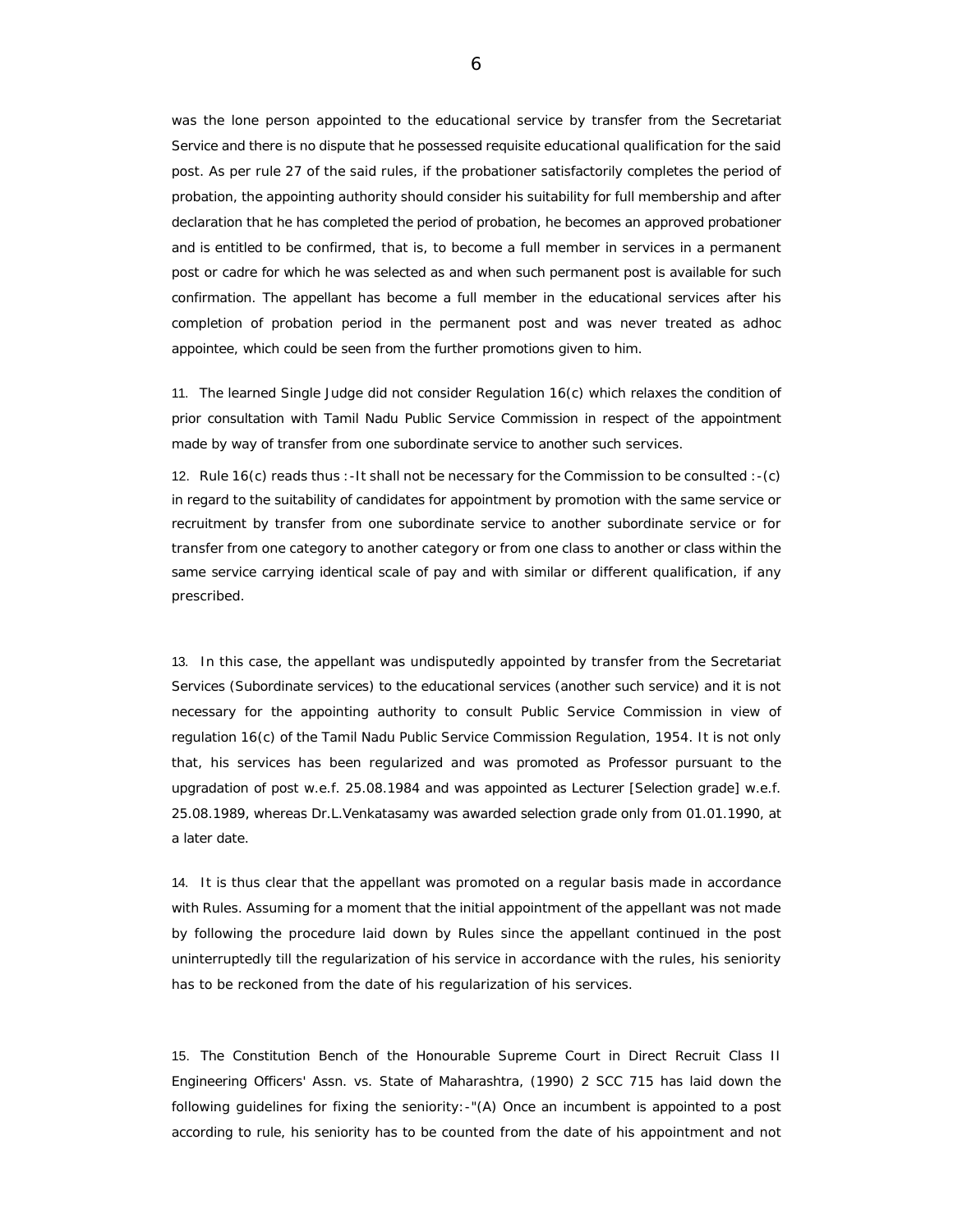was the lone person appointed to the educational service by transfer from the Secretariat Service and there is no dispute that he possessed requisite educational qualification for the said post. As per rule 27 of the said rules, if the probationer satisfactorily completes the period of probation, the appointing authority should consider his suitability for full membership and after declaration that he has completed the period of probation, he becomes an approved probationer and is entitled to be confirmed, that is, to become a full member in services in a permanent post or cadre for which he was selected as and when such permanent post is available for such confirmation. The appellant has become a full member in the educational services after his completion of probation period in the permanent post and was never treated as adhoc appointee, which could be seen from the further promotions given to him.

11. The learned Single Judge did not consider Regulation 16(c) which relaxes the condition of prior consultation with Tamil Nadu Public Service Commission in respect of the appointment made by way of transfer from one subordinate service to another such services.

12. Rule 16(c) reads thus :-It shall not be necessary for the Commission to be consulted :-(c) in regard to the suitability of candidates for appointment by promotion with the same service or recruitment by transfer from one subordinate service to another subordinate service or for transfer from one category to another category or from one class to another or class within the same service carrying identical scale of pay and with similar or different qualification, if any prescribed.

13. In this case, the appellant was undisputedly appointed by transfer from the Secretariat Services (Subordinate services) to the educational services (another such service) and it is not necessary for the appointing authority to consult Public Service Commission in view of regulation 16(c) of the Tamil Nadu Public Service Commission Regulation, 1954. It is not only that, his services has been regularized and was promoted as Professor pursuant to the upgradation of post w.e.f. 25.08.1984 and was appointed as Lecturer [Selection grade] w.e.f. 25.08.1989, whereas Dr.L.Venkatasamy was awarded selection grade only from 01.01.1990, at a later date.

14. It is thus clear that the appellant was promoted on a regular basis made in accordance with Rules. Assuming for a moment that the initial appointment of the appellant was not made by following the procedure laid down by Rules since the appellant continued in the post uninterruptedly till the regularization of his service in accordance with the rules, his seniority has to be reckoned from the date of his regularization of his services.

15. The Constitution Bench of the Honourable Supreme Court in Direct Recruit Class II Engineering Officers' Assn. vs. State of Maharashtra, (1990) 2 SCC 715 has laid down the following guidelines for fixing the seniority:-"(A) Once an incumbent is appointed to a post according to rule, his seniority has to be counted from the date of his appointment and not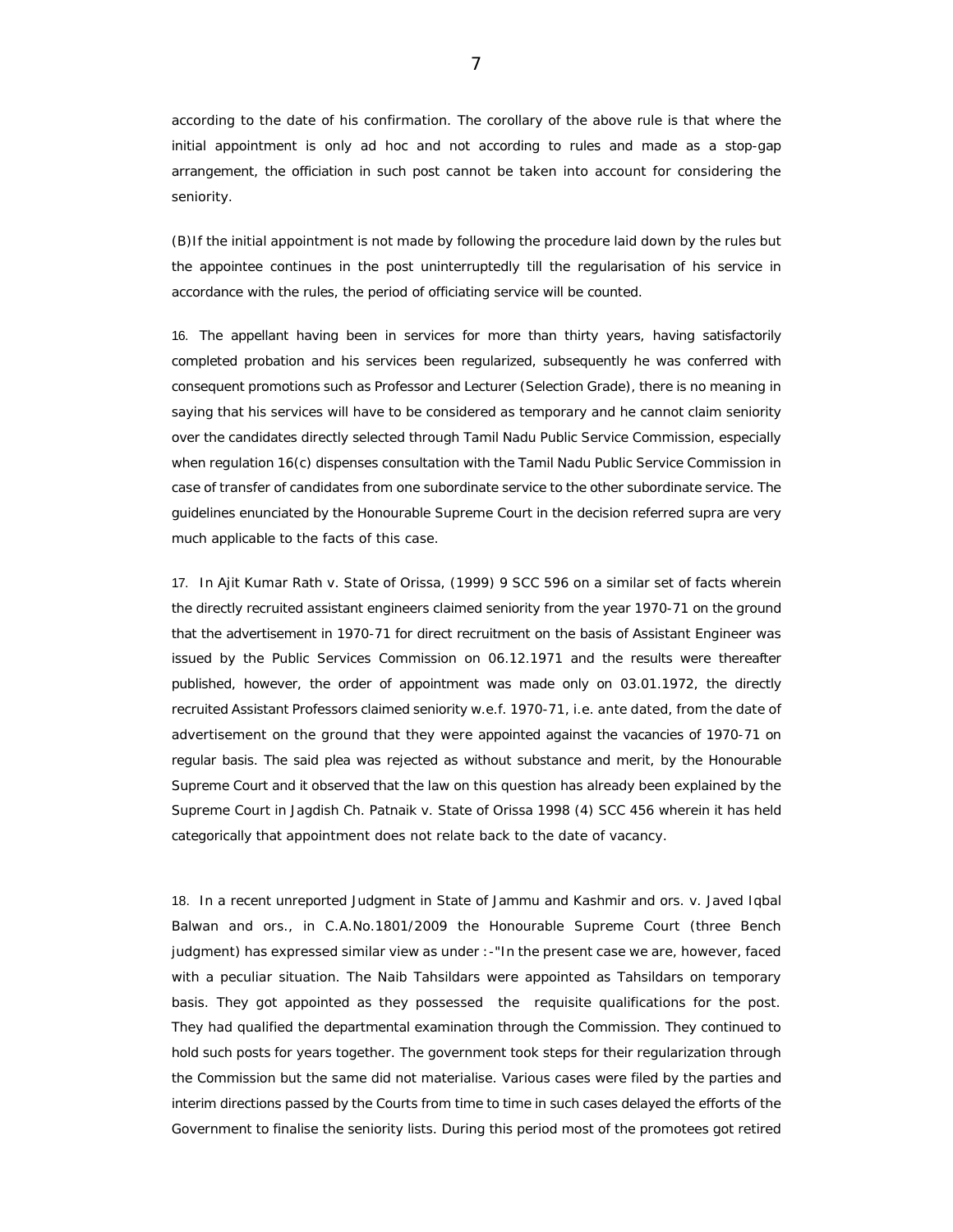according to the date of his confirmation. The corollary of the above rule is that where the initial appointment is only ad hoc and not according to rules and made as a stop-gap arrangement, the officiation in such post cannot be taken into account for considering the seniority.

(B)If the initial appointment is not made by following the procedure laid down by the rules but the appointee continues in the post uninterruptedly till the regularisation of his service in accordance with the rules, the period of officiating service will be counted.

16. The appellant having been in services for more than thirty years, having satisfactorily completed probation and his services been regularized, subsequently he was conferred with consequent promotions such as Professor and Lecturer (Selection Grade), there is no meaning in saying that his services will have to be considered as temporary and he cannot claim seniority over the candidates directly selected through Tamil Nadu Public Service Commission, especially when regulation 16(c) dispenses consultation with the Tamil Nadu Public Service Commission in case of transfer of candidates from one subordinate service to the other subordinate service. The guidelines enunciated by the Honourable Supreme Court in the decision referred supra are very much applicable to the facts of this case.

17. In Ajit Kumar Rath v. State of Orissa, (1999) 9 SCC 596 on a similar set of facts wherein the directly recruited assistant engineers claimed seniority from the year 1970-71 on the ground that the advertisement in 1970-71 for direct recruitment on the basis of Assistant Engineer was issued by the Public Services Commission on 06.12.1971 and the results were thereafter published, however, the order of appointment was made only on 03.01.1972, the directly recruited Assistant Professors claimed seniority w.e.f. 1970-71, i.e. ante dated, from the date of advertisement on the ground that they were appointed against the vacancies of 1970-71 on regular basis. The said plea was rejected as without substance and merit, by the Honourable Supreme Court and it observed that the law on this question has already been explained by the Supreme Court in Jagdish Ch. Patnaik v. State of Orissa 1998 (4) SCC 456 wherein it has held categorically that appointment does not relate back to the date of vacancy.

18. In a recent unreported Judgment in State of Jammu and Kashmir and ors. v. Javed Iqbal Balwan and ors., in C.A.No.1801/2009 the Honourable Supreme Court (three Bench judgment) has expressed similar view as under :-"In the present case we are, however, faced with a peculiar situation. The Naib Tahsildars were appointed as Tahsildars on temporary basis. They got appointed as they possessed the requisite qualifications for the post. They had qualified the departmental examination through the Commission. They continued to hold such posts for years together. The government took steps for their regularization through the Commission but the same did not materialise. Various cases were filed by the parties and interim directions passed by the Courts from time to time in such cases delayed the efforts of the Government to finalise the seniority lists. During this period most of the promotees got retired

7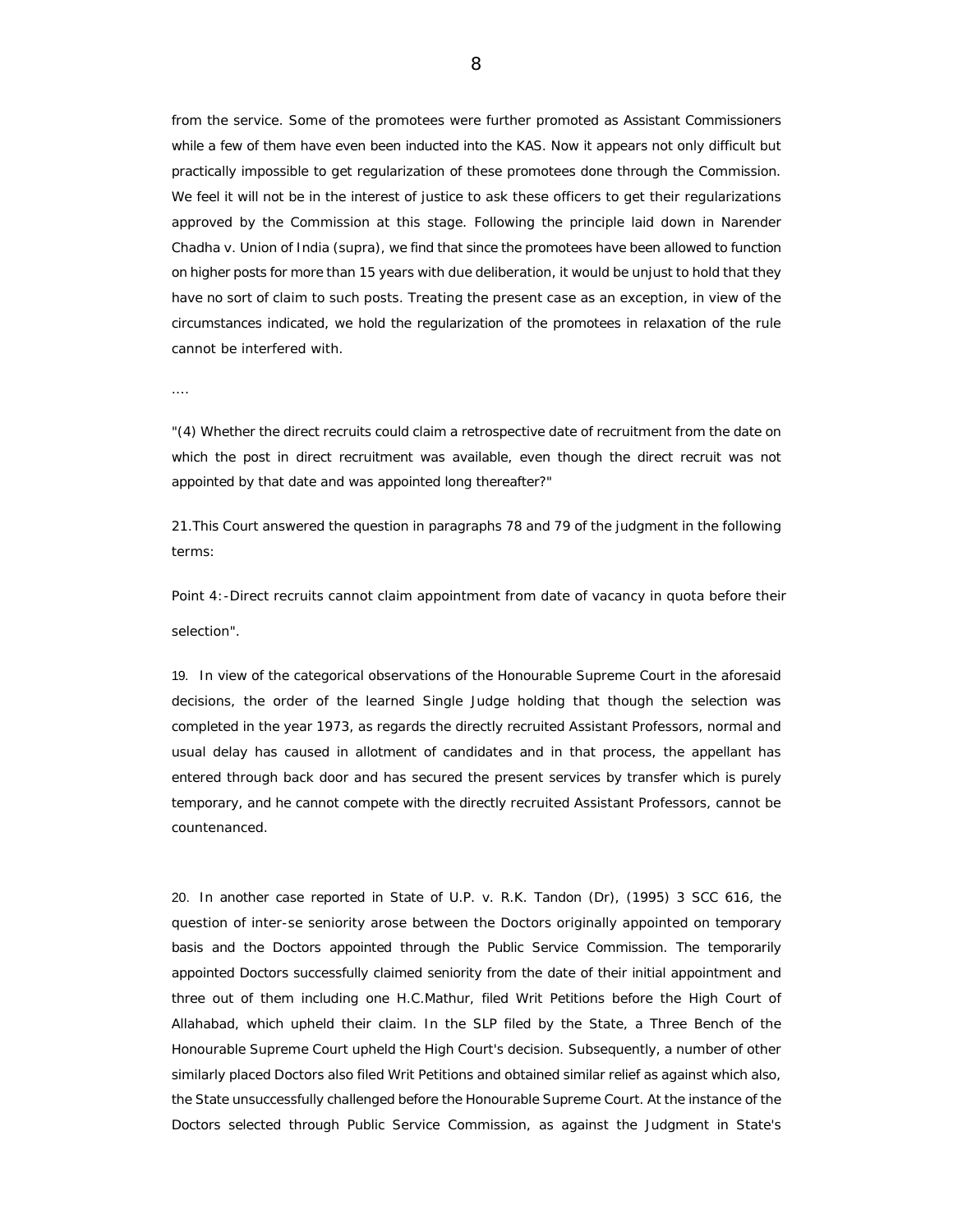from the service. Some of the promotees were further promoted as Assistant Commissioners while a few of them have even been inducted into the KAS. Now it appears not only difficult but practically impossible to get regularization of these promotees done through the Commission. We feel it will not be in the interest of justice to ask these officers to get their regularizations approved by the Commission at this stage. Following the principle laid down in Narender Chadha v. Union of India (supra), we find that since the promotees have been allowed to function on higher posts for more than 15 years with due deliberation, it would be unjust to hold that they have no sort of claim to such posts. Treating the present case as an exception, in view of the circumstances indicated, we hold the regularization of the promotees in relaxation of the rule cannot be interfered with.

"(4) Whether the direct recruits could claim a retrospective date of recruitment from the date on which the post in direct recruitment was available, even though the direct recruit was not appointed by that date and was appointed long thereafter?"

21.This Court answered the question in paragraphs 78 and 79 of the judgment in the following terms:

Point 4:-Direct recruits cannot claim appointment from date of vacancy in quota before their selection".

19. In view of the categorical observations of the Honourable Supreme Court in the aforesaid decisions, the order of the learned Single Judge holding that though the selection was completed in the year 1973, as regards the directly recruited Assistant Professors, normal and usual delay has caused in allotment of candidates and in that process, the appellant has entered through back door and has secured the present services by transfer which is purely temporary, and he cannot compete with the directly recruited Assistant Professors, cannot be countenanced.

20. In another case reported in State of U.P. v. R.K. Tandon (Dr), (1995) 3 SCC 616, the question of inter-se seniority arose between the Doctors originally appointed on temporary basis and the Doctors appointed through the Public Service Commission. The temporarily appointed Doctors successfully claimed seniority from the date of their initial appointment and three out of them including one H.C.Mathur, filed Writ Petitions before the High Court of Allahabad, which upheld their claim. In the SLP filed by the State, a Three Bench of the Honourable Supreme Court upheld the High Court's decision. Subsequently, a number of other similarly placed Doctors also filed Writ Petitions and obtained similar relief as against which also, the State unsuccessfully challenged before the Honourable Supreme Court. At the instance of the Doctors selected through Public Service Commission, as against the Judgment in State's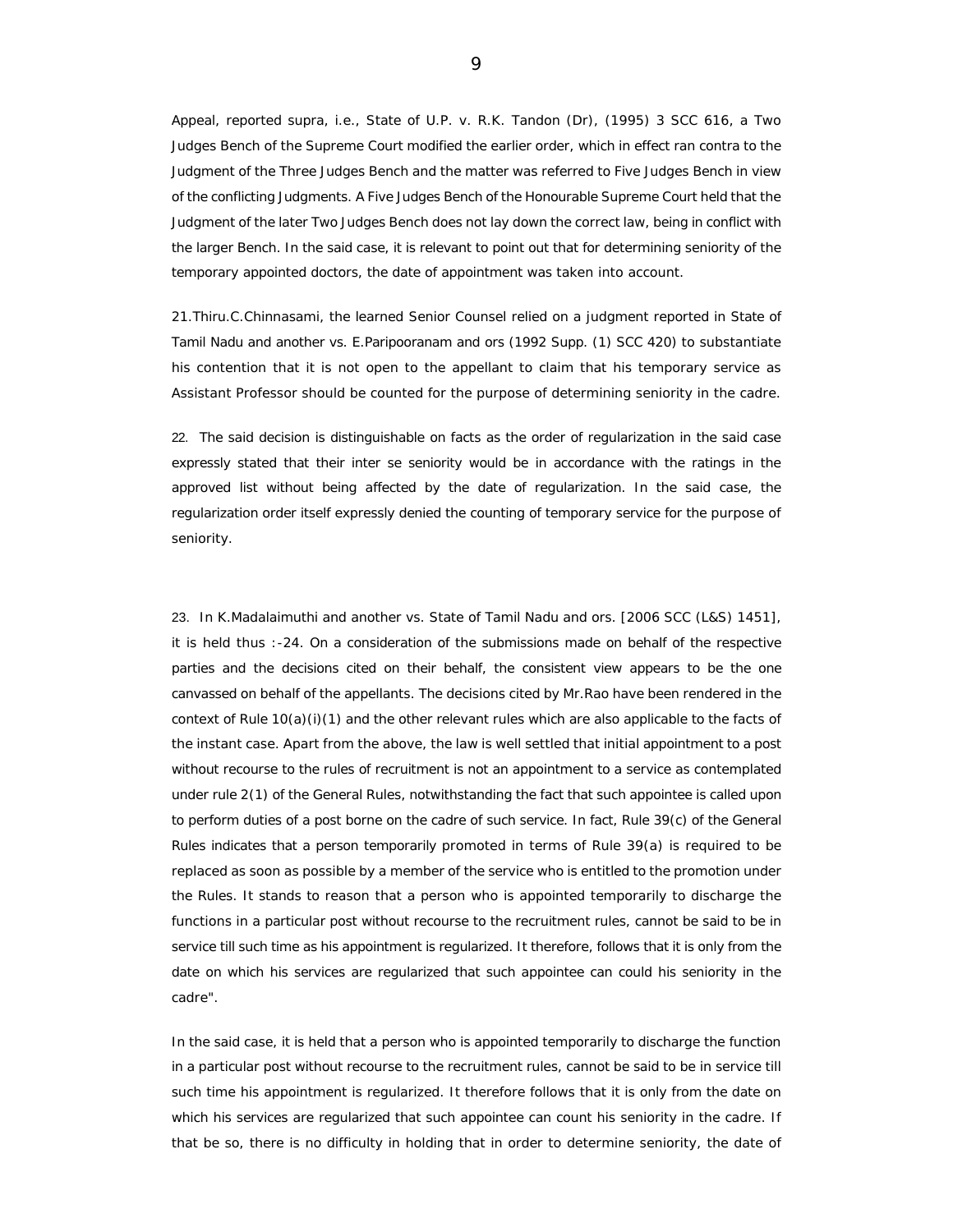Appeal, reported supra, i.e., State of U.P. v. R.K. Tandon (Dr), (1995) 3 SCC 616, a Two Judges Bench of the Supreme Court modified the earlier order, which in effect ran contra to the Judgment of the Three Judges Bench and the matter was referred to Five Judges Bench in view of the conflicting Judgments. A Five Judges Bench of the Honourable Supreme Court held that the Judgment of the later Two Judges Bench does not lay down the correct law, being in conflict with the larger Bench. In the said case, it is relevant to point out that for determining seniority of the temporary appointed doctors, the date of appointment was taken into account.

21.Thiru.C.Chinnasami, the learned Senior Counsel relied on a judgment reported in State of Tamil Nadu and another vs. E.Paripooranam and ors (1992 Supp. (1) SCC 420) to substantiate his contention that it is not open to the appellant to claim that his temporary service as Assistant Professor should be counted for the purpose of determining seniority in the cadre.

22. The said decision is distinguishable on facts as the order of regularization in the said case expressly stated that their inter se seniority would be in accordance with the ratings in the approved list without being affected by the date of regularization. In the said case, the regularization order itself expressly denied the counting of temporary service for the purpose of seniority.

23. In K.Madalaimuthi and another vs. State of Tamil Nadu and ors. [2006 SCC (L&S) 1451], it is held thus :-24. On a consideration of the submissions made on behalf of the respective parties and the decisions cited on their behalf, the consistent view appears to be the one canvassed on behalf of the appellants. The decisions cited by Mr.Rao have been rendered in the context of Rule 10(a)(i)(1) and the other relevant rules which are also applicable to the facts of the instant case. Apart from the above, the law is well settled that initial appointment to a post without recourse to the rules of recruitment is not an appointment to a service as contemplated under rule 2(1) of the General Rules, notwithstanding the fact that such appointee is called upon to perform duties of a post borne on the cadre of such service. In fact, Rule 39(c) of the General Rules indicates that a person temporarily promoted in terms of Rule 39(a) is required to be replaced as soon as possible by a member of the service who is entitled to the promotion under the Rules. It stands to reason that a person who is appointed temporarily to discharge the functions in a particular post without recourse to the recruitment rules, cannot be said to be in service till such time as his appointment is regularized. It therefore, follows that it is only from the date on which his services are regularized that such appointee can could his seniority in the cadre".

In the said case, it is held that a person who is appointed temporarily to discharge the function in a particular post without recourse to the recruitment rules, cannot be said to be in service till such time his appointment is regularized. It therefore follows that it is only from the date on which his services are regularized that such appointee can count his seniority in the cadre. If that be so, there is no difficulty in holding that in order to determine seniority, the date of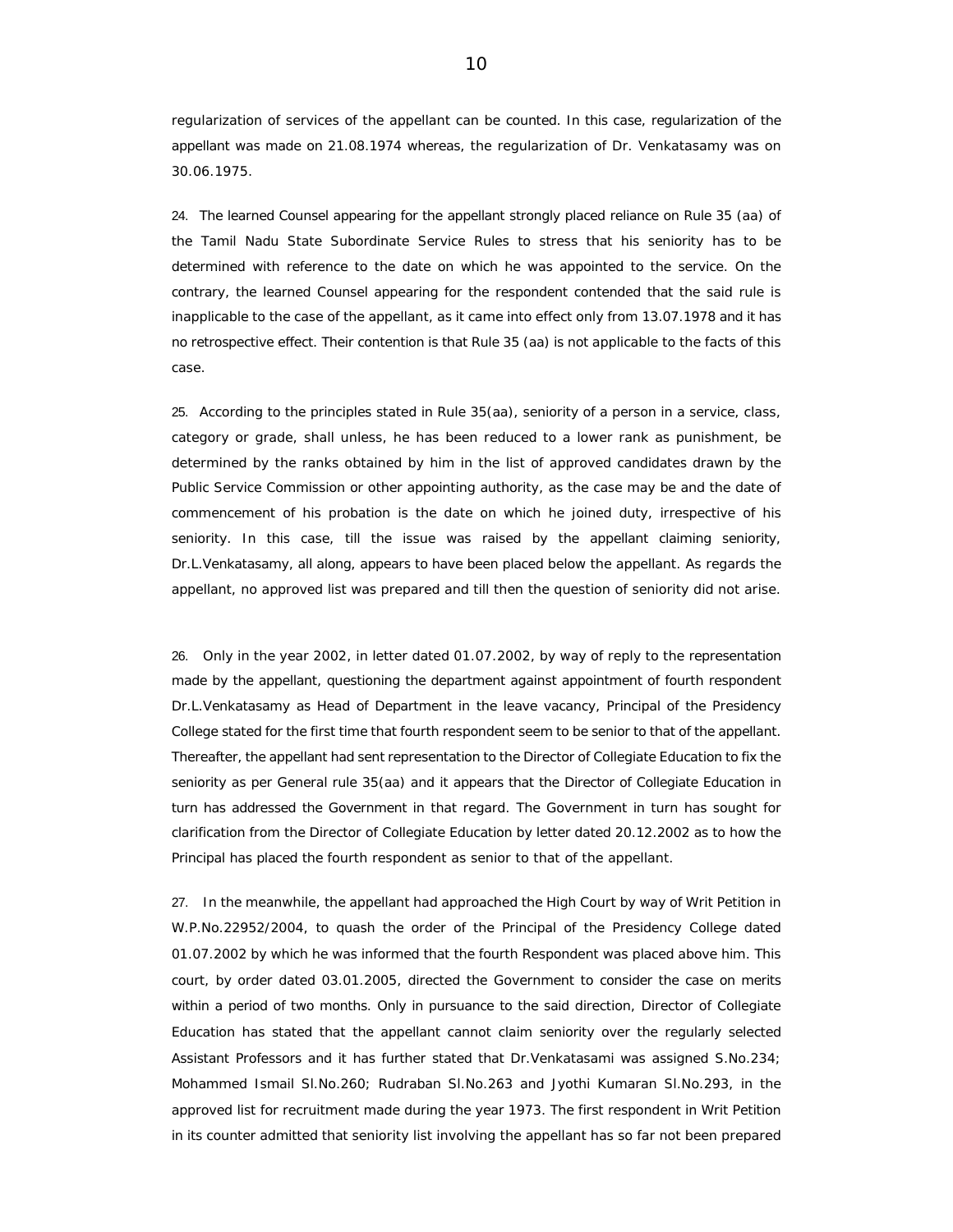regularization of services of the appellant can be counted. In this case, regularization of the appellant was made on 21.08.1974 whereas, the regularization of Dr. Venkatasamy was on 30.06.1975.

24. The learned Counsel appearing for the appellant strongly placed reliance on Rule 35 (aa) of the Tamil Nadu State Subordinate Service Rules to stress that his seniority has to be determined with reference to the date on which he was appointed to the service. On the contrary, the learned Counsel appearing for the respondent contended that the said rule is inapplicable to the case of the appellant, as it came into effect only from 13.07.1978 and it has no retrospective effect. Their contention is that Rule 35 (aa) is not applicable to the facts of this case.

25. According to the principles stated in Rule 35(aa), seniority of a person in a service, class, category or grade, shall unless, he has been reduced to a lower rank as punishment, be determined by the ranks obtained by him in the list of approved candidates drawn by the Public Service Commission or other appointing authority, as the case may be and the date of commencement of his probation is the date on which he joined duty, irrespective of his seniority. In this case, till the issue was raised by the appellant claiming seniority, Dr.L.Venkatasamy, all along, appears to have been placed below the appellant. As regards the appellant, no approved list was prepared and till then the question of seniority did not arise.

26. Only in the year 2002, in letter dated 01.07.2002, by way of reply to the representation made by the appellant, questioning the department against appointment of fourth respondent Dr.L.Venkatasamy as Head of Department in the leave vacancy, Principal of the Presidency College stated for the first time that fourth respondent seem to be senior to that of the appellant. Thereafter, the appellant had sent representation to the Director of Collegiate Education to fix the seniority as per General rule 35(aa) and it appears that the Director of Collegiate Education in turn has addressed the Government in that regard. The Government in turn has sought for clarification from the Director of Collegiate Education by letter dated 20.12.2002 as to how the Principal has placed the fourth respondent as senior to that of the appellant.

27. In the meanwhile, the appellant had approached the High Court by way of Writ Petition in W.P.No.22952/2004, to quash the order of the Principal of the Presidency College dated 01.07.2002 by which he was informed that the fourth Respondent was placed above him. This court, by order dated 03.01.2005, directed the Government to consider the case on merits within a period of two months. Only in pursuance to the said direction, Director of Collegiate Education has stated that the appellant cannot claim seniority over the regularly selected Assistant Professors and it has further stated that Dr.Venkatasami was assigned S.No.234; Mohammed Ismail Sl.No.260; Rudraban Sl.No.263 and Jyothi Kumaran Sl.No.293, in the approved list for recruitment made during the year 1973. The first respondent in Writ Petition in its counter admitted that seniority list involving the appellant has so far not been prepared